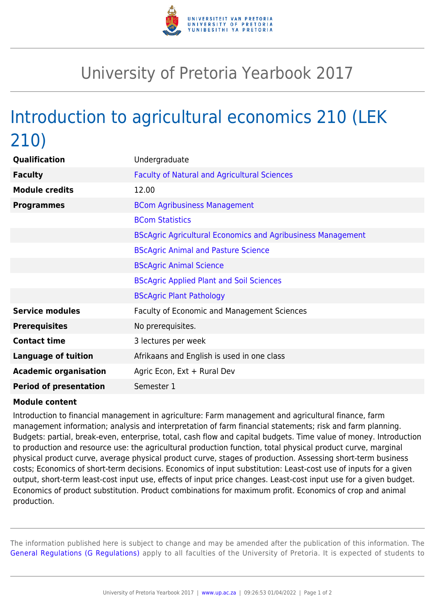

## University of Pretoria Yearbook 2017

## Introduction to agricultural economics 210 (LEK 210)

| Qualification                 | Undergraduate                                                      |
|-------------------------------|--------------------------------------------------------------------|
| <b>Faculty</b>                | <b>Faculty of Natural and Agricultural Sciences</b>                |
| <b>Module credits</b>         | 12.00                                                              |
| <b>Programmes</b>             | <b>BCom Agribusiness Management</b>                                |
|                               | <b>BCom Statistics</b>                                             |
|                               | <b>BScAgric Agricultural Economics and Agribusiness Management</b> |
|                               | <b>BScAgric Animal and Pasture Science</b>                         |
|                               | <b>BScAgric Animal Science</b>                                     |
|                               | <b>BScAgric Applied Plant and Soil Sciences</b>                    |
|                               | <b>BScAgric Plant Pathology</b>                                    |
| <b>Service modules</b>        | <b>Faculty of Economic and Management Sciences</b>                 |
| <b>Prerequisites</b>          | No prerequisites.                                                  |
| <b>Contact time</b>           | 3 lectures per week                                                |
| <b>Language of tuition</b>    | Afrikaans and English is used in one class                         |
| <b>Academic organisation</b>  | Agric Econ, Ext + Rural Dev                                        |
| <b>Period of presentation</b> | Semester 1                                                         |

## **Module content**

Introduction to financial management in agriculture: Farm management and agricultural finance, farm management information; analysis and interpretation of farm financial statements; risk and farm planning. Budgets: partial, break-even, enterprise, total, cash flow and capital budgets. Time value of money. Introduction to production and resource use: the agricultural production function, total physical product curve, marginal physical product curve, average physical product curve, stages of production. Assessing short-term business costs; Economics of short-term decisions. Economics of input substitution: Least-cost use of inputs for a given output, short-term least-cost input use, effects of input price changes. Least-cost input use for a given budget. Economics of product substitution. Product combinations for maximum profit. Economics of crop and animal production.

The information published here is subject to change and may be amended after the publication of this information. The [General Regulations \(G Regulations\)](https://www.up.ac.za/yearbooks/2017/rules/view/REG) apply to all faculties of the University of Pretoria. It is expected of students to